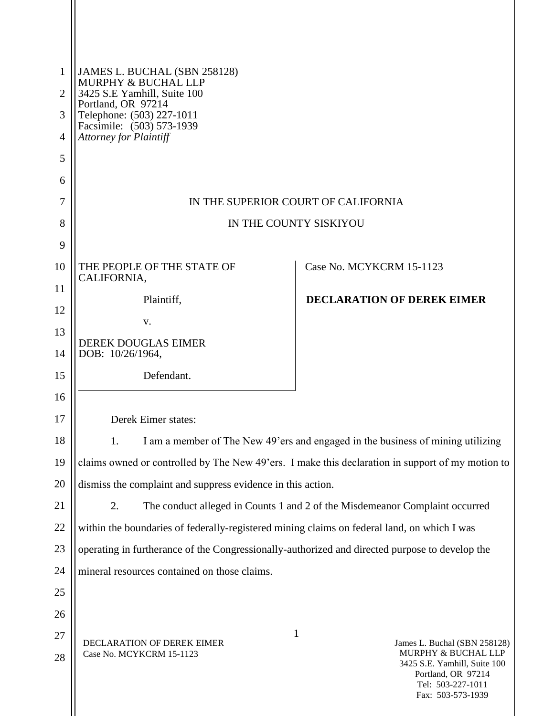| $\mathbf{1}$ | JAMES L. BUCHAL (SBN 258128)<br>MURPHY & BUCHAL LLP                                              |                                                                                                                     |
|--------------|--------------------------------------------------------------------------------------------------|---------------------------------------------------------------------------------------------------------------------|
| 2            | 3425 S.E Yamhill, Suite 100<br>Portland, OR 97214                                                |                                                                                                                     |
| 3            | Telephone: (503) 227-1011<br>Facsimile: (503) 573-1939                                           |                                                                                                                     |
| 4            | <b>Attorney for Plaintiff</b>                                                                    |                                                                                                                     |
| 5<br>6       |                                                                                                  |                                                                                                                     |
| 7            |                                                                                                  | IN THE SUPERIOR COURT OF CALIFORNIA                                                                                 |
| 8            |                                                                                                  | IN THE COUNTY SISKIYOU                                                                                              |
| 9            |                                                                                                  |                                                                                                                     |
| 10           | THE PEOPLE OF THE STATE OF                                                                       | Case No. MCYKCRM 15-1123                                                                                            |
| 11           | CALIFORNIA,                                                                                      |                                                                                                                     |
| 12           | Plaintiff,                                                                                       | <b>DECLARATION OF DEREK EIMER</b>                                                                                   |
| 13           | V.                                                                                               |                                                                                                                     |
| 14           | <b>DEREK DOUGLAS EIMER</b><br>DOB: 10/26/1964,                                                   |                                                                                                                     |
| 15           | Defendant.                                                                                       |                                                                                                                     |
| 16           |                                                                                                  |                                                                                                                     |
| 17           | Derek Eimer states:                                                                              |                                                                                                                     |
| 18           | 1.                                                                                               | I am a member of The New 49'ers and engaged in the business of mining utilizing                                     |
| 19           | claims owned or controlled by The New 49'ers. I make this declaration in support of my motion to |                                                                                                                     |
| 20           | dismiss the complaint and suppress evidence in this action.                                      |                                                                                                                     |
| 21           | 2.                                                                                               | The conduct alleged in Counts 1 and 2 of the Misdemeanor Complaint occurred                                         |
| 22           | within the boundaries of federally-registered mining claims on federal land, on which I was      |                                                                                                                     |
| 23           | operating in furtherance of the Congressionally-authorized and directed purpose to develop the   |                                                                                                                     |
| 24           | mineral resources contained on those claims.                                                     |                                                                                                                     |
| 25           |                                                                                                  |                                                                                                                     |
| 26           |                                                                                                  |                                                                                                                     |
| 27           | DECLARATION OF DEREK EIMER                                                                       | 1<br>James L. Buchal (SBN 258128)                                                                                   |
| 28           | Case No. MCYKCRM 15-1123                                                                         | MURPHY & BUCHAL LLP<br>3425 S.E. Yamhill, Suite 100<br>Portland, OR 97214<br>Tel: 503-227-1011<br>Fax: 503-573-1939 |

 $\mathbb{I}$ 

 $\mathsf{I}$  $\mathbb{I}$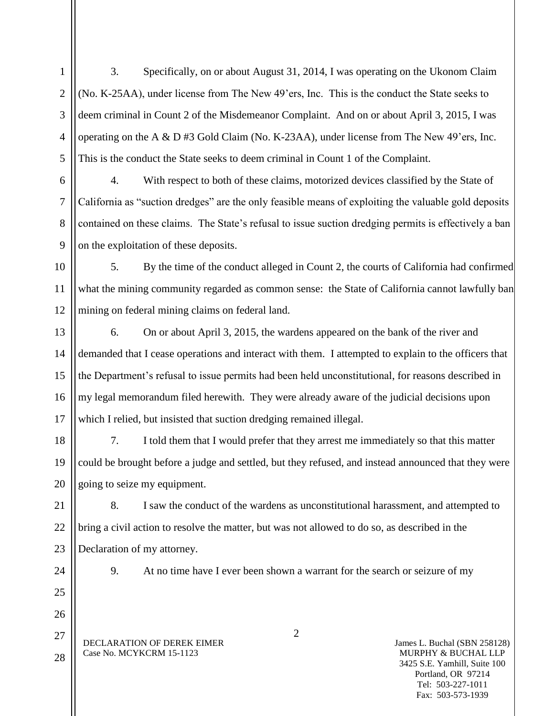1 2 3 4 5 3. Specifically, on or about August 31, 2014, I was operating on the Ukonom Claim (No. K-25AA), under license from The New 49'ers, Inc. This is the conduct the State seeks to deem criminal in Count 2 of the Misdemeanor Complaint. And on or about April 3, 2015, I was operating on the A & D #3 Gold Claim (No. K-23AA), under license from The New 49'ers, Inc. This is the conduct the State seeks to deem criminal in Count 1 of the Complaint.

6 7 8 9 4. With respect to both of these claims, motorized devices classified by the State of California as "suction dredges" are the only feasible means of exploiting the valuable gold deposits contained on these claims. The State's refusal to issue suction dredging permits is effectively a ban on the exploitation of these deposits.

10 11 12 5. By the time of the conduct alleged in Count 2, the courts of California had confirmed what the mining community regarded as common sense: the State of California cannot lawfully ban mining on federal mining claims on federal land.

13 14 15 16 17 6. On or about April 3, 2015, the wardens appeared on the bank of the river and demanded that I cease operations and interact with them. I attempted to explain to the officers that the Department's refusal to issue permits had been held unconstitutional, for reasons described in my legal memorandum filed herewith. They were already aware of the judicial decisions upon which I relied, but insisted that suction dredging remained illegal.

7. I told them that I would prefer that they arrest me immediately so that this matter could be brought before a judge and settled, but they refused, and instead announced that they were going to seize my equipment.

22 23 8. I saw the conduct of the wardens as unconstitutional harassment, and attempted to bring a civil action to resolve the matter, but was not allowed to do so, as described in the Declaration of my attorney.

24

25

26

27

28

18

19

20

21

9. At no time have I ever been shown a warrant for the search or seizure of my

DECLARATION OF DEREK EIMER Case No. MCYKCRM 15-1123

James L. Buchal (SBN 258128) MURPHY & BUCHAL LLP 3425 S.E. Yamhill, Suite 100 Portland, OR 97214 Tel: 503-227-1011 Fax: 503-573-1939

2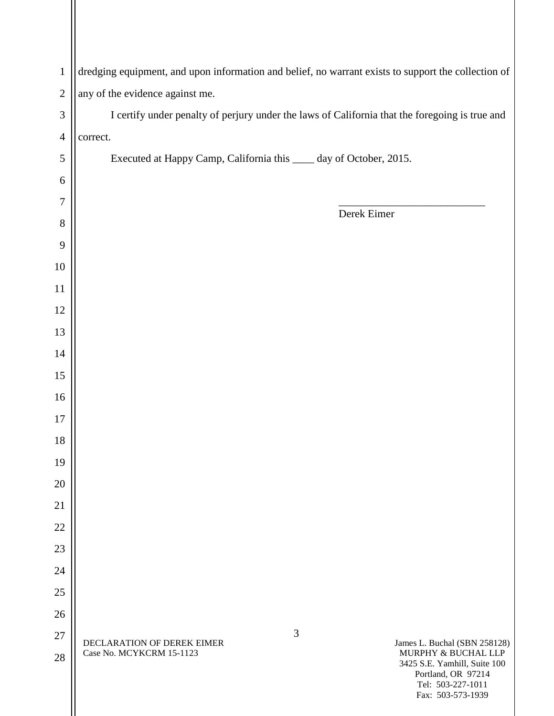| $\mathbf{1}$   | dredging equipment, and upon information and belief, no warrant exists to support the collection of                |
|----------------|--------------------------------------------------------------------------------------------------------------------|
| $\overline{2}$ | any of the evidence against me.                                                                                    |
| 3              | I certify under penalty of perjury under the laws of California that the foregoing is true and                     |
| $\overline{4}$ | correct.                                                                                                           |
| 5              | Executed at Happy Camp, California this _____ day of October, 2015.                                                |
| 6              |                                                                                                                    |
| 7              | Derek Eimer                                                                                                        |
| 8              |                                                                                                                    |
| 9              |                                                                                                                    |
| 10             |                                                                                                                    |
| $11\,$         |                                                                                                                    |
| 12             |                                                                                                                    |
| 13             |                                                                                                                    |
| 14             |                                                                                                                    |
| 15             |                                                                                                                    |
| 16             |                                                                                                                    |
| 17             |                                                                                                                    |
| 18             |                                                                                                                    |
| 19             |                                                                                                                    |
| 20             |                                                                                                                    |
| 21             |                                                                                                                    |
| 22             |                                                                                                                    |
| 23             |                                                                                                                    |
| 24             |                                                                                                                    |
| 25             |                                                                                                                    |
| 26             |                                                                                                                    |
| 27             | 3<br>DECLARATION OF DEREK EIMER<br>James L. Buchal (SBN 258128)<br>Case No. MCYKCRM 15-1123<br>MURPHY & BUCHAL LLP |
| 28             | 3425 S.E. Yamhill, Suite 100<br>Portland, OR 97214<br>Tel: 503-227-1011                                            |

 $\mathbf{\mathcal{L}}$ 

 $\mathsf{I}$ 

Fax: 503-573-1939